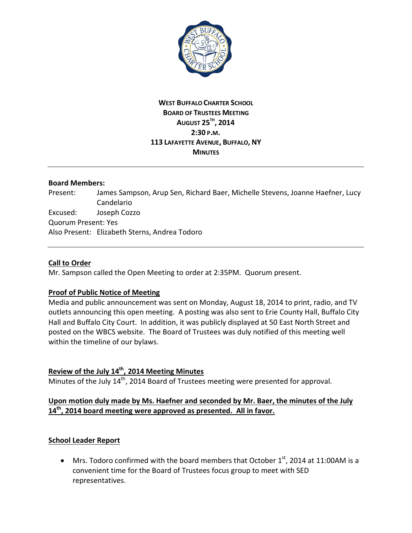

## **WEST BUFFALO CHARTER SCHOOL BOARD OF TRUSTEES MEETING AUGUST 25TH, 2014 2:30 P.M. 113 LAFAYETTE AVENUE, BUFFALO, NY MINUTES**

#### **Board Members:**

Present: James Sampson, Arup Sen, Richard Baer, Michelle Stevens, Joanne Haefner, Lucy Candelario Excused: Joseph Cozzo Quorum Present: Yes Also Present: Elizabeth Sterns, Andrea Todoro

#### **Call to Order**

Mr. Sampson called the Open Meeting to order at 2:35PM. Quorum present.

### **Proof of Public Notice of Meeting**

Media and public announcement was sent on Monday, August 18, 2014 to print, radio, and TV outlets announcing this open meeting. A posting was also sent to Erie County Hall, Buffalo City Hall and Buffalo City Court. In addition, it was publicly displayed at 50 East North Street and posted on the WBCS website. The Board of Trustees was duly notified of this meeting well within the timeline of our bylaws.

# **Review of the July 14th, 2014 Meeting Minutes**

Minutes of the July 14<sup>th</sup>, 2014 Board of Trustees meeting were presented for approval.

### **Upon motion duly made by Ms. Haefner and seconded by Mr. Baer, the minutes of the July 14th, 2014 board meeting were approved as presented. All in favor.**

### **School Leader Report**

• Mrs. Todoro confirmed with the board members that October  $1<sup>st</sup>$ , 2014 at 11:00AM is a convenient time for the Board of Trustees focus group to meet with SED representatives.